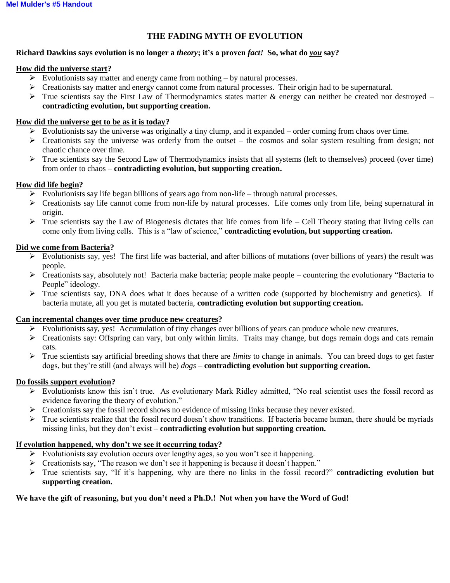# **THE FADING MYTH OF EVOLUTION**

# **Richard Dawkins says evolution is no longer a** *theory***; it's a proven** *fact!* **So, what do** *you* **say?**

## **How did the universe start?**

- $\triangleright$  Evolutionists say matter and energy came from nothing by natural processes.
- $\triangleright$  Creationists say matter and energy cannot come from natural processes. Their origin had to be supernatural.
- $\triangleright$  True scientists say the First Law of Thermodynamics states matter & energy can neither be created nor destroyed **contradicting evolution, but supporting creation.**

## **How did the universe get to be as it is today?**

- $\triangleright$  Evolutionists say the universe was originally a tiny clump, and it expanded order coming from chaos over time.
- $\triangleright$  Creationists say the universe was orderly from the outset the cosmos and solar system resulting from design; not chaotic chance over time.
- $\triangleright$  True scientists say the Second Law of Thermodynamics insists that all systems (left to themselves) proceed (over time) from order to chaos – **contradicting evolution, but supporting creation.**

## **How did life begin?**

- $\triangleright$  Evolutionists say life began billions of years ago from non-life through natural processes.
- $\triangleright$  Creationists say life cannot come from non-life by natural processes. Life comes only from life, being supernatural in origin.
- $\triangleright$  True scientists say the Law of Biogenesis dictates that life comes from life Cell Theory stating that living cells can come only from living cells. This is a "law of science," **contradicting evolution, but supporting creation.**

## **Did we come from Bacteria?**

- $\triangleright$  Evolutionists say, yes! The first life was bacterial, and after billions of mutations (over billions of years) the result was people.
- $\triangleright$  Creationists say, absolutely not! Bacteria make bacteria; people make people countering the evolutionary "Bacteria to People" ideology.
- $\triangleright$  True scientists say, DNA does what it does because of a written code (supported by biochemistry and genetics). If bacteria mutate, all you get is mutated bacteria, **contradicting evolution but supporting creation.**

#### **Can incremental changes over time produce new creatures?**

- $\triangleright$  Evolutionists say, yes! Accumulation of tiny changes over billions of years can produce whole new creatures.
- Creationists say: Offspring can vary, but only within limits. Traits may change, but dogs remain dogs and cats remain cats.
- True scientists say artificial breeding shows that there are *limits* to change in animals. You can breed dogs to get faster dogs, but they're still (and always will be) *dogs* – **contradicting evolution but supporting creation.**

#### **Do fossils support evolution?**

- $\triangleright$  Evolutionists know this isn't true. As evolutionary Mark Ridley admitted, "No real scientist uses the fossil record as evidence favoring the theory of evolution."
- Creationists say the fossil record shows no evidence of missing links because they never existed.
- $\triangleright$  True scientists realize that the fossil record doesn't show transitions. If bacteria became human, there should be myriads missing links, but they don't exist – **contradicting evolution but supporting creation.**

# **If evolution happened, why don't we see it occurring today?**

- $\triangleright$  Evolutionists say evolution occurs over lengthy ages, so you won't see it happening.
- $\triangleright$  Creationists say, "The reason we don't see it happening is because it doesn't happen."
- True scientists say, "If it's happening, why are there no links in the fossil record?" **contradicting evolution but supporting creation.**

# **We have the gift of reasoning, but you don't need a Ph.D.! Not when you have the Word of God!**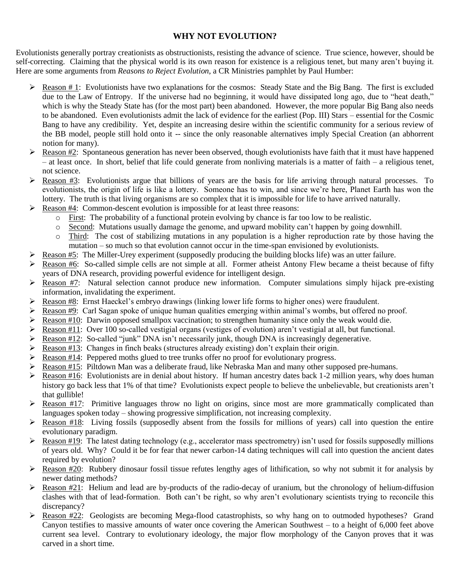# **WHY NOT EVOLUTION?**

Evolutionists generally portray creationists as obstructionists, resisting the advance of science. True science, however, should be self-correcting. Claiming that the physical world is its own reason for existence is a religious tenet, but many aren't buying it. Here are some arguments from *Reasons to Reject Evolution*, a CR Ministries pamphlet by Paul Humber:

- Reason # 1: Evolutionists have two explanations for the cosmos: Steady State and the Big Bang. The first is excluded due to the Law of Entropy. If the universe had no beginning, it would have dissipated long ago, due to "heat death," which is why the Steady State has (for the most part) been abandoned. However, the more popular Big Bang also needs to be abandoned. Even evolutionists admit the lack of evidence for the earliest (Pop. III) Stars – essential for the Cosmic Bang to have any credibility. Yet, despite an increasing desire within the scientific community for a serious review of the BB model, people still hold onto it -- since the only reasonable alternatives imply Special Creation (an abhorrent notion for many).
- $\triangleright$  Reason #2: Spontaneous generation has never been observed, though evolutionists have faith that it must have happened – at least once. In short, belief that life could generate from nonliving materials is a matter of faith – a religious tenet, not science.
- $\triangleright$  Reason #3: Evolutionists argue that billions of years are the basis for life arriving through natural processes. To evolutionists, the origin of life is like a lottery. Someone has to win, and since we're here, Planet Earth has won the lottery. The truth is that living organisms are so complex that it is impossible for life to have arrived naturally.
- Reason #4: Common-descent evolution is impossible for at least three reasons:
	- o First: The probability of a functional protein evolving by chance is far too low to be realistic.
	- o Second: Mutations usually damage the genome, and upward mobility can't happen by going downhill.
	- o Third: The cost of stabilizing mutations in any population is a higher reproduction rate by those having the mutation – so much so that evolution cannot occur in the time-span envisioned by evolutionists.
- Reason #5: The Miller-Urey experiment (supposedly producing the building blocks life) was an utter failure.
- $\triangleright$  Reason #6: So-called simple cells are not simple at all. Former atheist Antony Flew became a theist because of fifty years of DNA research, providing powerful evidence for intelligent design.
- $\triangleright$  Reason #7: Natural selection cannot produce new information. Computer simulations simply hijack pre-existing information, invalidating the experiment.
- $\triangleright$  Reason #8: Ernst Haeckel's embryo drawings (linking lower life forms to higher ones) were fraudulent.
- $\triangleright$  Reason #9: Carl Sagan spoke of unique human qualities emerging within animal's wombs, but offered no proof.
- Reason #10: Darwin opposed smallpox vaccination; to strengthen humanity since only the weak would die.
- Reason #11: Over 100 so-called vestigial organs (vestiges of evolution) aren't vestigial at all, but functional.
- Reason #12: So-called "junk" DNA isn't necessarily junk, though DNA is increasingly degenerative.
- Reason  $\#13$ : Changes in finch beaks (structures already existing) don't explain their origin.
- $\triangleright$  Reason #14: Peppered moths glued to tree trunks offer no proof for evolutionary progress.
- Reason #15: Piltdown Man was a deliberate fraud, like Nebraska Man and many other supposed pre-humans.
- Reason #16: Evolutionists are in denial about history. If human ancestry dates back 1-2 million years, why does human history go back less that 1% of that time? Evolutionists expect people to believe the unbelievable, but creationists aren't that gullible!
- $\triangleright$  Reason #17: Primitive languages throw no light on origins, since most are more grammatically complicated than languages spoken today – showing progressive simplification, not increasing complexity.
- $\triangleright$  Reason #18: Living fossils (supposedly absent from the fossils for millions of years) call into question the entire evolutionary paradigm.
- Reason #19: The latest dating technology (e.g., accelerator mass spectrometry) isn't used for fossils supposedly millions of years old. Why? Could it be for fear that newer carbon-14 dating techniques will call into question the ancient dates required by evolution?
- $\triangleright$  Reason #20: Rubbery dinosaur fossil tissue refutes lengthy ages of lithification, so why not submit it for analysis by newer dating methods?
- Reason #21: Helium and lead are by-products of the radio-decay of uranium, but the chronology of helium-diffusion clashes with that of lead-formation. Both can't be right, so why aren't evolutionary scientists trying to reconcile this discrepancy?
- $\triangleright$  Reason #22: Geologists are becoming Mega-flood catastrophists, so why hang on to outmoded hypotheses? Grand Canyon testifies to massive amounts of water once covering the American Southwest – to a height of 6,000 feet above current sea level. Contrary to evolutionary ideology, the major flow morphology of the Canyon proves that it was carved in a short time.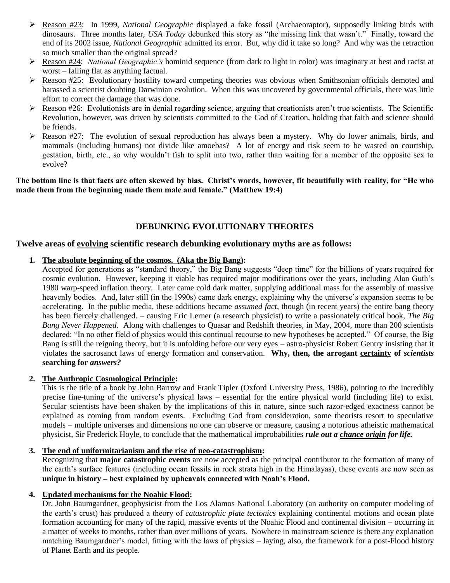- Reason #23: In 1999, *National Geographic* displayed a fake fossil (Archaeoraptor), supposedly linking birds with dinosaurs. Three months later, *USA Today* debunked this story as "the missing link that wasn't." Finally, toward the end of its 2002 issue, *National Geographic* admitted its error. But, why did it take so long? And why was the retraction so much smaller than the original spread?
- Reason #24: *National Geographic's* hominid sequence (from dark to light in color) was imaginary at best and racist at worst – falling flat as anything factual.
- $\triangleright$  Reason #25: Evolutionary hostility toward competing theories was obvious when Smithsonian officials demoted and harassed a scientist doubting Darwinian evolution. When this was uncovered by governmental officials, there was little effort to correct the damage that was done.
- $\triangleright$  Reason #26: Evolutionists are in denial regarding science, arguing that creationists aren't true scientists. The Scientific Revolution, however, was driven by scientists committed to the God of Creation, holding that faith and science should be friends.
- $\triangleright$  Reason #27: The evolution of sexual reproduction has always been a mystery. Why do lower animals, birds, and mammals (including humans) not divide like amoebas? A lot of energy and risk seem to be wasted on courtship, gestation, birth, etc., so why wouldn't fish to split into two, rather than waiting for a member of the opposite sex to evolve?

**The bottom line is that facts are often skewed by bias. Christ's words, however, fit beautifully with reality, for "He who made them from the beginning made them male and female." (Matthew 19:4)** 

# **DEBUNKING EVOLUTIONARY THEORIES**

# **Twelve areas of evolving scientific research debunking evolutionary myths are as follows:**

# **1. The absolute beginning of the cosmos. (Aka the Big Bang):**

Accepted for generations as "standard theory," the Big Bang suggests "deep time" for the billions of years required for cosmic evolution. However, keeping it viable has required major modifications over the years, including Alan Guth's 1980 warp-speed inflation theory. Later came cold dark matter, supplying additional mass for the assembly of massive heavenly bodies. And, later still (in the 1990s) came dark energy, explaining why the universe's expansion seems to be accelerating. In the public media, these additions became *assumed fact*, though (in recent years) the entire bang theory has been fiercely challenged. – causing Eric Lerner (a research physicist) to write a passionately critical book, *The Big Bang Never Happened.* Along with challenges to Quasar and Redshift theories, in May, 2004, more than 200 scientists declared: "In no other field of physics would this continual recourse to new hypotheses be accepted." Of course, the Big Bang is still the reigning theory, but it is unfolding before our very eyes – astro-physicist Robert Gentry insisting that it violates the sacrosanct laws of energy formation and conservation. **Why, then, the arrogant certainty of** *scientists*  **searching for** *answers?*

# **2. The Anthropic Cosmological Principle:**

This is the title of a book by John Barrow and Frank Tipler (Oxford University Press, 1986), pointing to the incredibly precise fine-tuning of the universe's physical laws – essential for the entire physical world (including life) to exist. Secular scientists have been shaken by the implications of this in nature, since such razor-edged exactness cannot be explained as coming from random events. Excluding God from consideration, some theorists resort to speculative models – multiple universes and dimensions no one can observe or measure, causing a notorious atheistic mathematical physicist, Sir Frederick Hoyle, to conclude that the mathematical improbabilities *rule out a chance origin for life.*

#### **3. The end of uniformitarianism and the rise of neo-catastrophism:**

Recognizing that **major catastrophic events** are now accepted as the principal contributor to the formation of many of the earth's surface features (including ocean fossils in rock strata high in the Himalayas), these events are now seen as **unique in history – best explained by upheavals connected with Noah's Flood.** 

#### **4. Updated mechanisms for the Noahic Flood:**

Dr. John Baumgardner, geophysicist from the Los Alamos National Laboratory (an authority on computer modeling of the earth's crust) has produced a theory of *catastrophic plate tectonics* explaining continental motions and ocean plate formation accounting for many of the rapid, massive events of the Noahic Flood and continental division – occurring in a matter of weeks to months, rather than over millions of years. Nowhere in mainstream science is there any explanation matching Baumgardner's model, fitting with the laws of physics – laying, also, the framework for a post-Flood history of Planet Earth and its people.